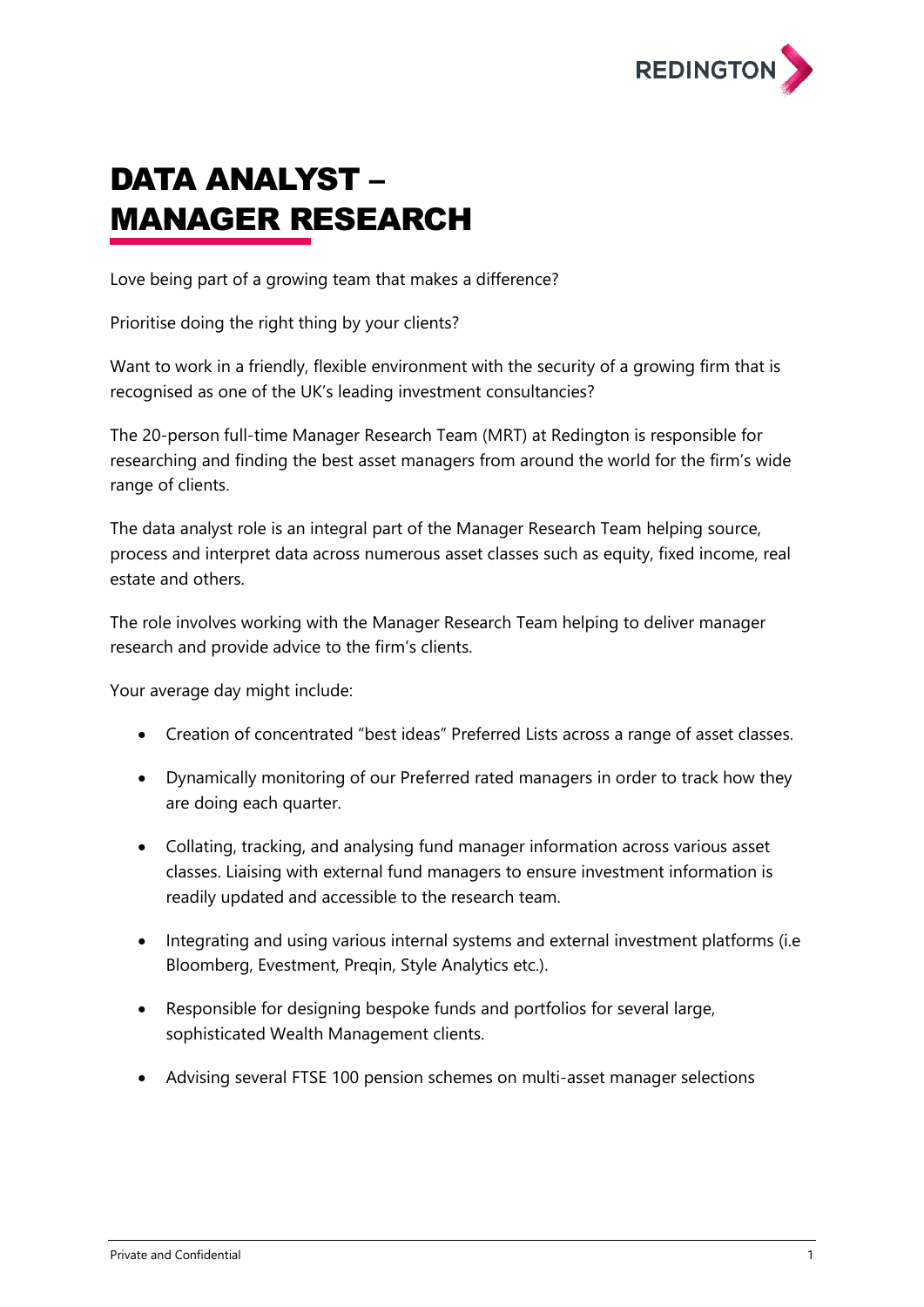

## DATA ANALYST – MANAGER RESEARCH

Love being part of a growing team that makes a difference?

Prioritise doing the right thing by your clients?

Want to work in a friendly, flexible environment with the security of a growing firm that is recognised as one of the UK's leading investment consultancies?

The 20-person full-time Manager Research Team (MRT) at Redington is responsible for researching and finding the best asset managers from around the world for the firm's wide range of clients.

The data analyst role is an integral part of the Manager Research Team helping source, process and interpret data across numerous asset classes such as equity, fixed income, real estate and others.

The role involves working with the Manager Research Team helping to deliver manager research and provide advice to the firm's clients.

Your average day might include:

- Creation of concentrated "best ideas" Preferred Lists across a range of asset classes.
- Dynamically monitoring of our Preferred rated managers in order to track how they are doing each quarter.
- Collating, tracking, and analysing fund manager information across various asset classes. Liaising with external fund managers to ensure investment information is readily updated and accessible to the research team.
- Integrating and using various internal systems and external investment platforms (i.e. Bloomberg, Evestment, Preqin, Style Analytics etc.).
- Responsible for designing bespoke funds and portfolios for several large, sophisticated Wealth Management clients.
- Advising several FTSE 100 pension schemes on multi-asset manager selections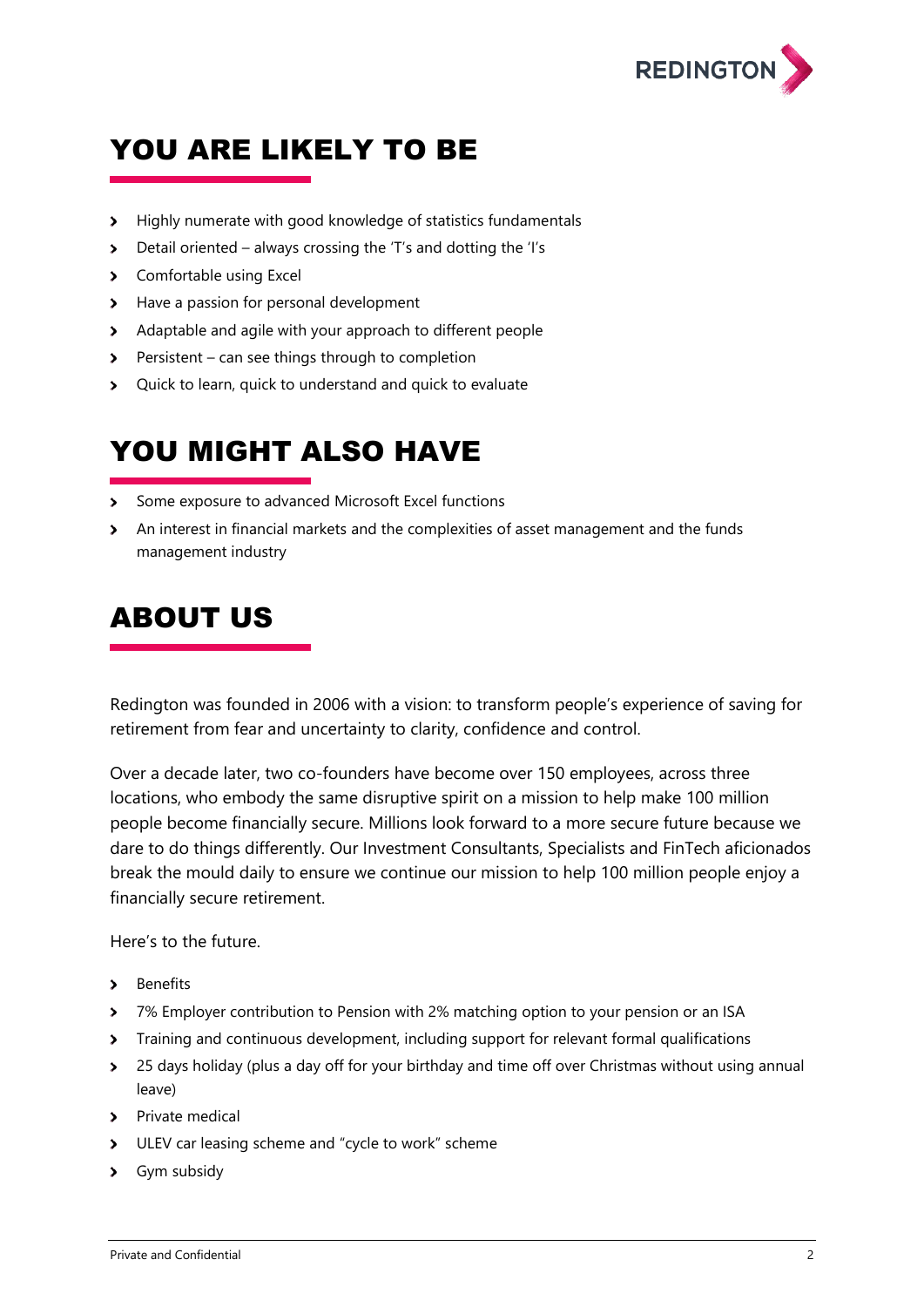

## YOU ARE LIKELY TO BE

- Highly numerate with good knowledge of statistics fundamentals
- Detail oriented always crossing the 'T's and dotting the 'I's
- > Comfortable using Excel
- > Have a passion for personal development
- Adaptable and agile with your approach to different people
- Persistent can see things through to completion
- Quick to learn, quick to understand and quick to evaluate

## YOU MIGHT ALSO HAVE

- Some exposure to advanced Microsoft Excel functions
- An interest in financial markets and the complexities of asset management and the funds management industry

## ABOUT US

Redington was founded in 2006 with a vision: to transform people's experience of saving for retirement from fear and uncertainty to clarity, confidence and control.

Over a decade later, two co-founders have become over 150 employees, across three locations, who embody the same disruptive spirit on a mission to help make 100 million people become financially secure. Millions look forward to a more secure future because we dare to do things differently. Our Investment Consultants, Specialists and FinTech aficionados break the mould daily to ensure we continue our mission to help 100 million people enjoy a financially secure retirement.

Here's to the future.

- > Benefits
- > 7% Employer contribution to Pension with 2% matching option to your pension or an ISA
- Training and continuous development, including support for relevant formal qualifications  $\blacktriangleright$
- <sup>2</sup> 25 days holiday (plus a day off for your birthday and time off over Christmas without using annual leave)
- > Private medical
- > ULEV car leasing scheme and "cycle to work" scheme
- > Gym subsidy